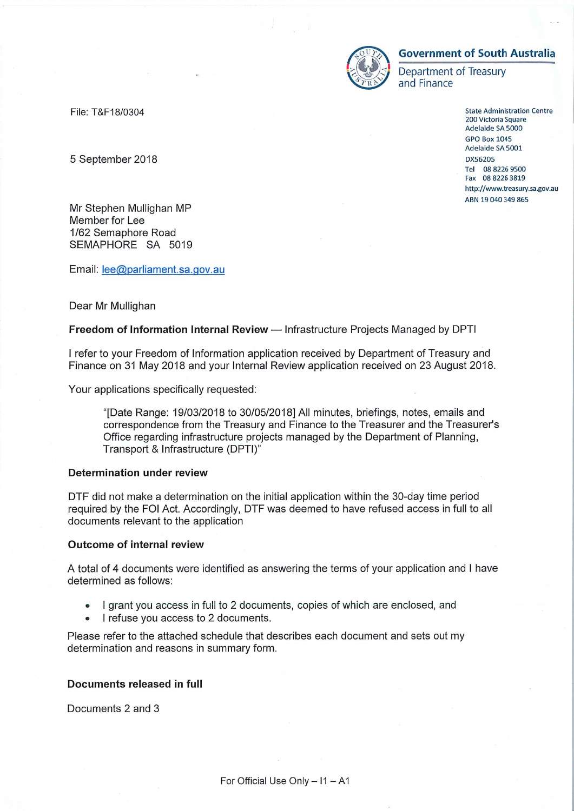

# **Government of South Australia**

Department of Treasury and Finance

> **State Administration Centre** 200 Victoria Square Adelaide SA 5000 **GPO Box 1045** Adelaide SA 5001 DX56205 Tel 08 8226 9500 Fax 08 8226 3819 http://www.treasury.sa.gov.au ABN 19 040 349 865

File: T&F18/0304

5 September 2018

Mr Stephen Mullighan MP Member for Lee 1/62 Semaphore Road SEMAPHORE SA 5019

Email: lee@parliament.sa.gov.au

## Dear Mr Mullighan

## Freedom of Information Internal Review - Infrastructure Projects Managed by DPTI

I refer to your Freedom of Information application received by Department of Treasury and Finance on 31 May 2018 and your Internal Review application received on 23 August 2018.

Your applications specifically requested:

"[Date Range: 19/03/2018 to 30/05/2018] All minutes, briefings, notes, emails and correspondence from the Treasury and Finance to the Treasurer and the Treasurer's Office regarding infrastructure projects managed by the Department of Planning, Transport & Infrastructure (DPTI)"

## **Determination under review**

DTF did not make a determination on the initial application within the 30-day time period required by the FOI Act. Accordingly, DTF was deemed to have refused access in full to all documents relevant to the application

#### **Outcome of internal review**

A total of 4 documents were identified as answering the terms of your application and I have determined as follows:

- I grant you access in full to 2 documents, copies of which are enclosed, and
- I refuse you access to 2 documents.

Please refer to the attached schedule that describes each document and sets out my determination and reasons in summary form.

# Documents released in full

Documents 2 and 3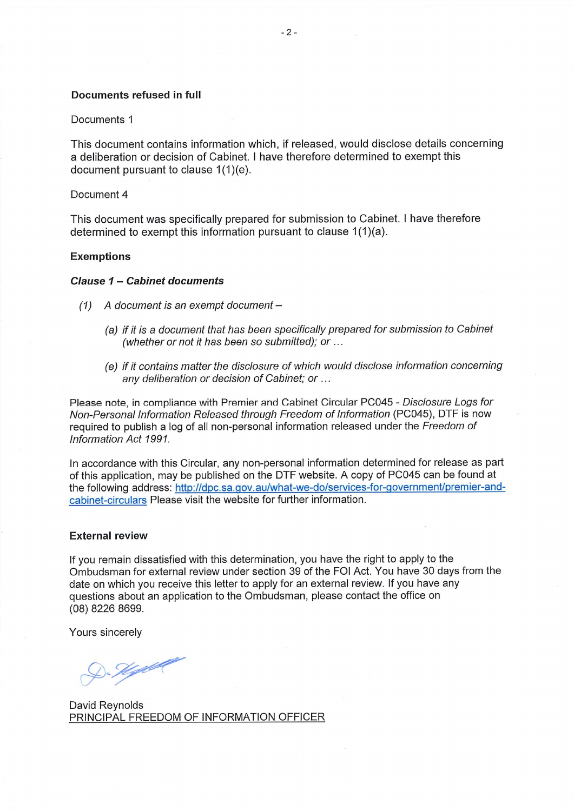## Documents refused in full

#### Documents 1

This document contains information which, if released, would disclose details concerning a deliberation or decision of Cabinet. I have therefore determined to exempt this document pursuant to clause 1(1)(e).

#### Document 4

This document was specifically prepared for submission to Cabinet. I have therefore determined to exempt this information pursuant to clause 1(1)(a).

#### **Exemptions**

#### Clause 1 - Cabinet documents

- $(1)$  A document is an exempt document -
	- (a) if it is a document that has been specifically prepared for submission to Cabinet (whether or not it has been so submitted); or ...
	- (e) if it contains matter the disclosure of which would disclose information concerning any deliberation or decision of Cabinet; or ...

Please note, in compliance with Premier and Cabinet Circular PC045 - Disclosure Logs for Non-Personal Information Released through Freedom of Information (PC045), DTF is now required to publish a log of all non-personal information released under the Freedom of Information Act 1991.

In accordance with this Circular, any non-personal information determined for release as part of this application, may be published on the DTF website. A copy of PC045 can be found at the following address: http://dpc.sa.gov.au/what-we-do/services-for-government/premier-andcabinet-circulars Please visit the website for further information.

#### **External review**

If you remain dissatisfied with this determination, you have the right to apply to the Ombudsman for external review under section 39 of the FOI Act. You have 30 days from the date on which you receive this letter to apply for an external review. If you have any questions about an application to the Ombudsman, please contact the office on (08) 8226 8699.

Yours sincerely

<u> 1). Hydel</u>

David Reynolds PRINCIPAL FREEDOM OF INFORMATION OFFICER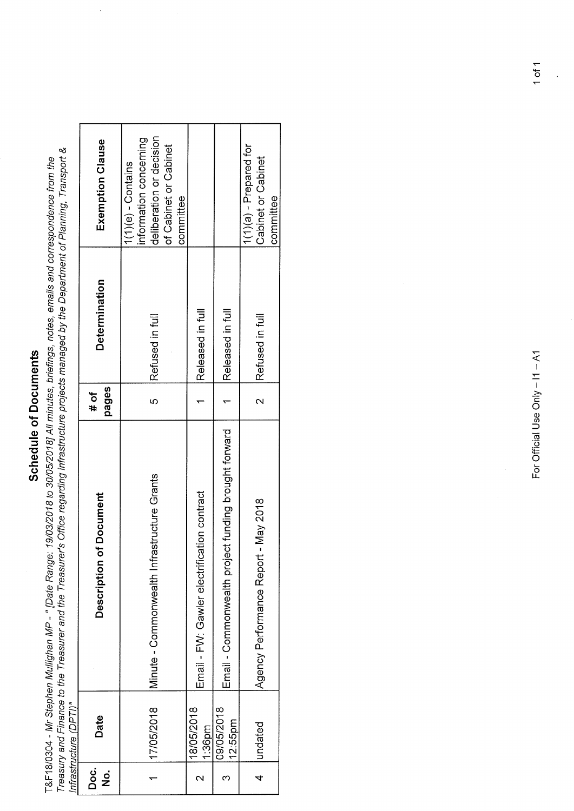# Schedule of Documents

T&F18/0304 - Mr Stephen Mullighan MP - " [Date Range: 19/03/2018 to 30/05/2018] All minutes, briefings, notes, emails and correspondence from the<br>Treasury and Finance to the Treasurer and the Treasurer's Office regarding i

 $\ddot{\phantom{a}}$ 

| Doc.<br>Do<br>$\frac{1}{2}$ | Date                    | Description of Document                              | pages<br>$#$ of          | <b>Determination</b> | Exemption Clause                                                                                                 |
|-----------------------------|-------------------------|------------------------------------------------------|--------------------------|----------------------|------------------------------------------------------------------------------------------------------------------|
|                             | 17/05/2018              | Minute - Commonwealth Infrastructure Grants          | rU                       | Refused in full      | deliberation or decision<br>information concerning<br>of Cabinet or Cabinet<br>$1(1)(e) -$ Contains<br>committee |
|                             | 18/05/2018<br>$1:36$ pm | tion contract<br>Email - FW: Gawler electrificat     |                          | Released in full     |                                                                                                                  |
| ო                           | 09/05/2018<br>12:55pm   | Email - Commonwealth project funding brought forward |                          | Released in full     |                                                                                                                  |
| $\overline{4}$              | undated                 | Agency Performance Report - May 2018                 | $\overline{\mathcal{C}}$ | Refused in full      | $1(1)(a)$ - Prepared for<br>Cabinet or Cabinet<br>committee                                                      |

 $\ddot{\phantom{a}}$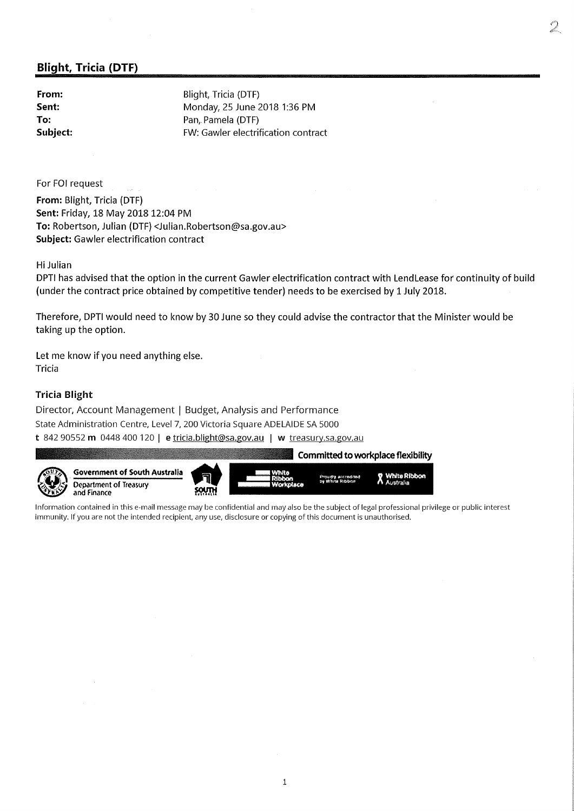# Blight, Tricia (DTF)

From: Blight, Tricia (DTF) Sent: Monday, 25 June 2018 1:36 PM To: Pan, Pamela (DTF) Subject: FW: Gawler electrification contract

For FOI request

From: Blight, Tricia (DTF) Sent: Friday, 18 May 2018 12:04 PM To: Robertson, Julian (DTF) <Julian.Robertson@sa.gov.au> Subject: Gawler electrification contract

Hi Julian

DPTI has advised that the option in the current Gawler electrification contract with LendLease for continuity of build (under the contract price obtained by competitive tender) needs to be exercised by 1 July 2018.

Therefore, DPTI would need to know by 30 June so they could advise the contractor that the Minister would be taking up the option.

Let me know if you need anything else. Tricia

# Tricia Blight

Director, Account Management | Budget, Analysis and Performance State Administration Centre, Level 7, 200 Victoria Square ADELAIDE SA 5000

t 842 90552 m 0448 400 120 | e tricia.blight@sa.gov.au | w treasury.sa.gov.au



Government of South Australia Department of Treasury and Finance





Information contained in this e-mail message may be confidential and may also be the subject of legal professional privilege or public interest immunity. If you are not the intended recipient, any use, disclosure or copying of this document is unauthorised.